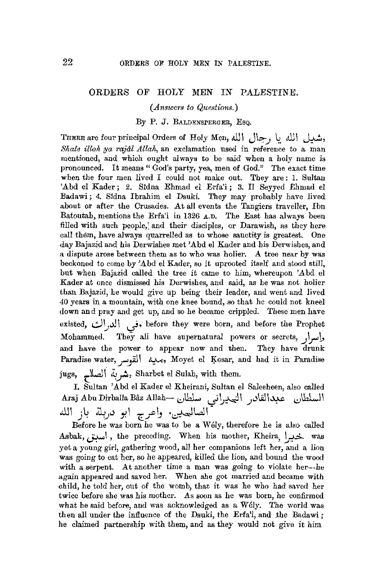## ORDERS OF HOLY MEN IN PALESTINE.

*(Answers to Questions.)* 

By P. J. BALDENSPERGER, EsQ.

THERE are four principal Orders of Roly *Men,* ,ill\ J\.=::--.J ~- .ill\ ~, *Shale illah ya rajal Allah,* an exclamation used in reference to a man mentioned, and which ought always to be said when a holy name is pronounced. It means "God's party, yea, men of God." The exact time when the four men lived I could not make out. They are: 1. Sultan 'Abd el Kader; *2.* Sidna Ehmad el Erfa'i; 3. II Seyyed Ehmad el Badawi; 4. Sidna Ibrahim el Dsuki. They may probably have lived about or after the Crusades. At all events the Tangiers traveller, Ibn Batoutah, mentions the Erfa'i in 1326 A.D. The East has always been filled with such people, and their disciples, or Darawish, as they here call them, have always quarrelled as to whose sanctity is greatest. One day Bajazid and his Derwishes met 'Abd el Kader and his Derwishes, and a dispute arose between them as to who was holier. A tree near by was beckoned to come by 'Abd el Kader, so it uprooted itself and stood still, but when Bajazid called the tree it came to him, whereupon 'Abd el Kader at once dismissed his Derwishes, and said, as he was not holier than Bajazid, he would give up being their leader, and went and lived 40 years in a mountain, with one knee bound, so that he could not kneel down and pray and get up, and so he became crippled. These men have existed, في الدراك, before they were born, and before the Prophet Mohammed. They all have supernatural powers or secrets, *.J~l,*  and have the power to appear now and then. They have drunk Paradise water, **.r'J~** I ~• .Moyet el 1\$.osar, and had it in Paradise jugs, t:1.all **~.,r-,** Sharbet el Sulah, with them.

I. Sultan 'Abd el Kader el Kheirani, Sultan el Saleeheen, also called .Araj .AbuDirballaB.iz Allah- ..:J\hL., J~~I .J.)1.ii,\\~ ..:J\kL.ll ً الصالمحين. واعرج ابو دربلة باز الله<br>Before he was born he was to be a Wély, therefore he is also called

Asbak, أستقى , the preceding. When his mother, Kheira, أستقى was yet a young girl, gathering wood, all her companions left her, and a lion was going to eat her, so he appeared, killed the lion, and bound the wood with a serpent. At another time a man was going to violate her-he again appeared and saved her. When she got married and became with child, he told her, out of the womb, that it was he who had saved her twice before she was his mother. As soon as he was born, he confirmed what he said before, and was acknowledged as a Wely. The world was then all under the influence of the Dsuki, the Erfa'i, and the Badawi; he claimed partnership with them, and as they would not give it him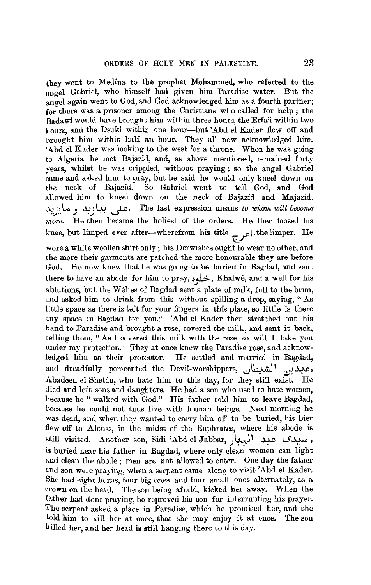they went to Medina to the prophet Mohammed, who referred to the angel Gabriel, who himself had given him Paradise water. But the angel again went to God, and God acknowledged him as a fourth partner; for there was a prisoner among the Christians who called for help ; the Badawi would have brought him within three hours, the Erfa'i within two hours, and the Dsuki within one hour-but 'Abd el Kader flew off and brought him within half an hour. They all now acknowledged him. 'Abd el Kader was looking to the west for a throne. When he was going to Algeria he met Bajazid, and, as above mentioned, remained forty years, whilst he was crippled, without praying ; so the angel Gabriel came and asked him to pray, but he said he would only kneel down on the neck of Bajazid. So Gabriel went to tell God, and God allowed him to kneel down on the neck of Bajazid and Majazid. ~). l-o J ~J ~ ~- The last expression means *to who1n will become more.* He then became the holiest of the orders. He then loosed his knee, but limped ever after-wherefrom his title  $\frac{1}{\epsilon}$ , the limper. He wore a white woollen shirt only; his Derwishes ought to wear no other, and the more their garments are patched the more honourable they are before God. He now knew that he was going to be buried in Bagdad, and sent there to have an abode for him to pray, *by>-,* Kbalwe, and a well for his ablutions, but the Welies of Bagdad sent a plate of milk, full to the brim, and asked him to drink from this without spilling a drop, saying, "As little space as there is left for your fingers in this plate, so little is there any space in Bagdad for you." 'Abd el Kader then stretched out his hand to Paradise and brought a rose, covered the milk, and sent it back, telling them, "As I covered this milk with the rose, so will I take you under my protection." They at once knew the Paradise rose, and acknowledged him as their protector. He settled and married in Bagdad,

and dreadfully persecuted the Devil-worshippers, الشيطان. Abadeen el Shetân, who hate him to this day, for they still exist. He died and left sons and daughters. He had a son who used to hate women, because he " walked with God." His father told him to leave Bagdad, because be could not thus live with human beings. Next morning he was dead, and when they wanted to carry him off to be buried, his bier flew off to Alouss, in the midst of the Euphrates, where his abode is still visited. .Another son, Sidi 'Abdel Jabbar, J~I ~ *..S~,*  is buried near his father in Bagdad, where only clean women can light and clean the abode ; men are not allowed to enter. One day the father and son were praying, when a serpent came along to visit<sup>7</sup>Abd el Kader. She had eight horns, four big ones and four small ones alternately, as a crown on the head. The son being afraid, kicked her away. When the father had done praying, he reproved his son for interrupting his prayer. The serpent asked a place in Paradise, which he promised her, and she told him to kill her at once, that she may enjoy it at once. The son killed her, and her head is still hanging there to this day.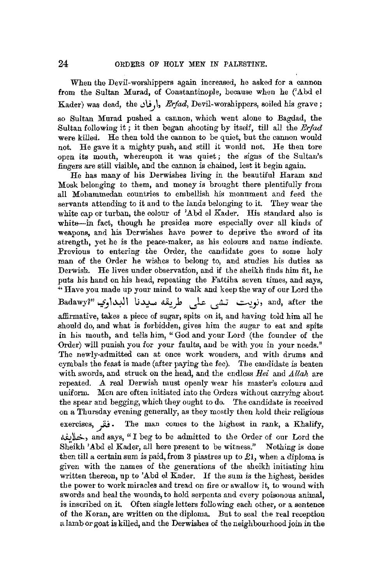When the Devil-worshippers again increased, he asked for a cannon from the Sultan Murad, of Constantinople, because when he ('Abd el Kader) was dead, the *........ Ir fad, Devil-worshippers, soiled his grave*; so Sultan Murad pushed a cannon, which went alone to Bagdad, the Sultan following it; it then began shooting by itself, till all the *Erfad*  were killed. He then told the cannon to be quiet, but the cannon would not. He gave it a mighty push, and still it wonld not. He then tore open its mouth, whereupon it was quiet; the signs of the Sultan's fingers are still visible, and the cannon is chained, lest it begin again.

He has many of his Derwishes living in the beautiful Haram and Mosk belonging to them, and money is brought there plentifully from all Mohammedan countries to embellish his monument and feed the servants attending to it and to the lands belonging to it. They wear the white cap or turban, the colour of 'Abd el Kader. His standard also is white--in fact, though he presides more especially over all kinds of weapons, and his Derwishes have power to deprive the sword of its strength, yet he is the peace-maker, as his colours and name indicate. Previous to entering the Order, the candidate goes to some holy man of the Order he wishes to belong to, and studies his duties as Derwish. He lives under observation, and if the sheikh finds him fit, he puts his hand on his head, repeating the Fattiha seven times, and says, "Have you made up your mind to walk and keep the way of our Lord the 13adawy1" -:#'\_,\..'-;JI *\j~ ~), .,)...:- 1....\$!;.;J* ~.f!, and, after the affirmative, takes a piece of sugar, spits on it, and having told him all he should do, and what is forbidden, gives him the sugar to eat and spits in his mouth, and tells him, "God and your Lord (the founder of the Order) will punish you for your faults, and be with you in your needs." The newly-admitted can at once work wonders, and with drums and cymbals the feast is made (after paying the fee). The candidate is beaten with swords, and struck on the head, and the endless *Hei* and *Allah* are repeated. A real Derwish must openly wear his master's colours and uniform. Men are often initiated into the Orders without carrying about the spear and begging, which they ought to do. The candidate is received on a Thursday evening generally, as they mostly then hold their religious exercises, *\_fa* . The man comes to the highest in rank, a Khalify, . خلائفه, and says, "I beg to be admitted to the Order of our Lord the Sheikh 'Abd el Kader, all here present to be witness." Nothing is done then till a certain sum is paid, from 3 piastres up to £1, when a diploma is given with the names of the generations of the sheikh initiating him written thereon, up to 'Abd el Kader. If the sum is the highest, besides the power to work miracles and tread on fire or swallow it, to wound with swords and heal the wounds, to hold serpents and every poisonous animal, is inscribed on it. Often single letters following each other, or a sentence of the Koran, are written on the diploma. But to seal the real reception a lamb or goat is killed, and the Derwishes of the neighbourhood join in the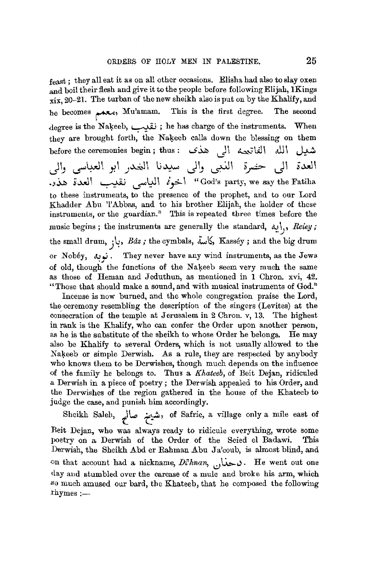£east ; they all eat it as on all other occasions. Elisha had also to slay oxen and boil their flesh and give it to the people before following Elijah, 1Kings xix, 20-21. The turban of the new sheikh also is put on by the Khalify, and be becomes ~• Mu'amam. This is the first degree. The second degree is the Naķeeb, نقدب; he has charge of the instruments. When they are brought forth, the Nakeeb calls down the blessing on them  $\hbox{before the ceremonies begin; thus:}~~$ شيل الله الفاتحه ال<sub>م</sub> هذ*ى* العدة الى حصرة النَّبَى والى سيدنا الغدر ابو العباسى والى God's party, we say the Fatiha <sup>، •</sup> أخو<sup>ن</sup>ه النياسي نقيب العدة هذه. to these instruments, to the presence of the prophet, and to our Lord Khadder Abu 'l'Abbas, and to his brother Elijah, the holder of these instruments, or the guardian." This is repeated three times before the music begins ; the instruments are generally the standard,  $\langle \cdot \rangle$ , *Reiey*; the small drum,  $;\psi$ , *Bâz*; the cymbals, كاسة, Kasséy; and the big drum or Nobéy, نوبه. They never have any wind instruments, as the Jews of old, though the functions of the Nakeeb seem very much the same as those of Heman and Jeduthun, as mentioned in 1 Chron. xvi, 42. '' Those that should make a sound, and with musical instruments of God."

Incense is now burned, and the whole congregation praise the Lord, the ceremony resembling the description of the singers (Levites) at the consecration of the temple at Jerusalem in 2 Chron. v, 13. The highest in rank is the Khalify, who can confer the Order upon another person, as he is the substitute of the sheikh to whose Order he belongs. He may also be Khalify to several Orders, which is not usually allowed to the Nakeeb or simple Derwish. As a rule, they are respected by anybody who knows them to be Derwishes, though much depends on the influence of the family he belongs to. Thus a Khateeb, of Beit Dejan, ridiculed a Derwish in a piece of poetry ; the Derwish appealed to his Order, and the Derwishes of the region gathered **in** the house of the Khateeb to judge the case, and punish him accordingly.

Sheikh Saleh, **)L:,** ~.!., of Safrie, a village only a mile east of **L** ~ Reit Dejan, who was always ready to ridicule everything, wrote some poetrv on a Derwish of the Order of the Seied el Badawi. This Derwish, the Sheikh Abd er Rahman Abu Ja'coub, is almost blind, and on that account had a nickname, *Di'hnan*, نحنان. He went out one day aud stumbled over the carcase of a mule and broke his arm, which so much amused our bard, the Khateeb, that he composed the following  $r$ hymes: $-$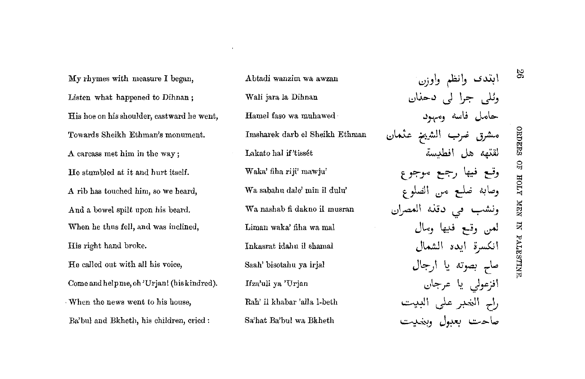My rhymes with measure I began, Abtadi wanzim wa awzan i.:JJJb l'-.:i ~b ..s.0..J \ <sup>~</sup> Listen what happened to Dihnan ; **W** ali jara la Dihnan ,).;.>-,., <....SI I,;=':"" *JJ\_,*  His hoe on his shoulder, eastward he went, Hamel faso wa muha wed **j)'r'J** .t...:IJ J.,cl.:... 0<br>Towards Sheikh Ethman's monument. Imsharek darb el Sheikh Ethman H<br>H **<sup>A</sup>**carcass met him in the way ; Lakato hal if'tisset ~I JAi ~l <sup>~</sup> Waka' fiha riji' mawju' ~ **t::;J** lzj He stumbled at it and hurt itself. **t\_J=':""J"" t:=':""~** ::ci A rib has touched him, so we heard, Wa sabahu dale' min il <lulu' t.,WI\ i.:)'"" t:L; <½l,J t"' لِينَ فَي مَا الله العُمْرَان (; Wa nashab fi dakno il musran مُنْشَبَ في دُقلَهُ العُصْرَان (; Na nashab fi dakno il musran لمس وقبح فديها ومال النسمة للمائل السمع لله السمع العمل العامل العامل العامل العامل العامل العامل ال His right hand broke. Inkasrat idahu il shamal ll.JJI .)'..\!.I 0' > t"' (., t,j He called out with all his voice, Saah' bisotahu ya irjal J~) ~ *Kj~* Ll, <sup>~</sup>[:';j Come andhelpme,oh 'Urjan! (his kindred). Ifza'nli ya 'Urjan *1..:,,1~),t:.* 4 JrJI , When the news went to his house, Rah' il khabar 'alla 1-beth ~I ~ ~ ·11 L~ Ba'bul and Bkheth, his children, cried : Sa'hat Ba'bul wa Bkheth ~~) JJ~ *~-\,.p* 

t<J 00 0 ٤  $\mathcal{L}$ **NHW** z 't:J rn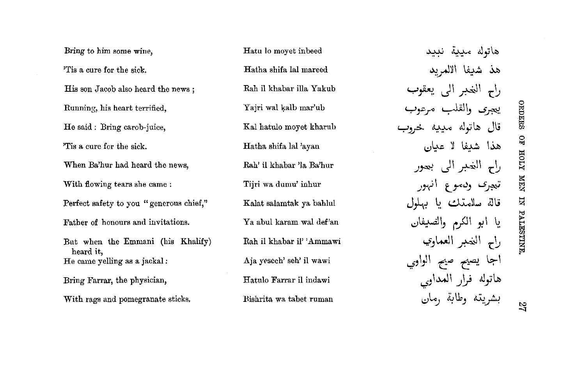Bring to him some wine, 'Tis a cure for the sick. His son Jacob also heard the news ; Running, his heart terrified, He said: Bring carob-juice, 'Tis a cure for the sick. When Ba'hur had heard the news, With flowing tears she came : Perfect safety to you "generous chief,'' Father of honours and invitations. But when the Emmani (his Khalify) heard it, He came yelling as a jackal: Bring Farrar, the physician, With rags and pomegranate sticks,

Hatu lo moyet inbeed Hatha shifa lal mareed Rah il khabar illa Yakub Yajri wal kalb mar'ub Kal hatulo moyet kharub Hatha shifa lal 'ayan Rah' il khabar 'la Ba'hur Tijri wa dumu' inhur Kalat salamtak ya bahlul Ya abul karam wal def'an Rah il khabar il' 'Ammawi Aja yeseeh' seh' il wawi Hatulo Farrar il indawi Bishrita wa tabet ruman

هاتوله مىية نىبيد هذ شيفا الالمريد راح الن*خبر ال*ي يعقوب **YJ.z-**/° 1-;-ul ~ *...s* ft . قال هاتوله مىييە خرو*ب* هذا شدفا لا عدار، راح الغجر الى بعمور ت<sub>ل</sub>جر*ی ودمو*ع انہور قالة سلامتك با ب<sub>ي</sub> يا أبو الكرم والص*نيفان* راح النحمبر العماوي 'جا يصي*م ميم* الواوي هاتوله فرار ال**م**داو<sub>ي</sub> *\;)L.,j ~?* 11., *AJ..?,\_;,!,.~* 

 $\mathbb{Z}$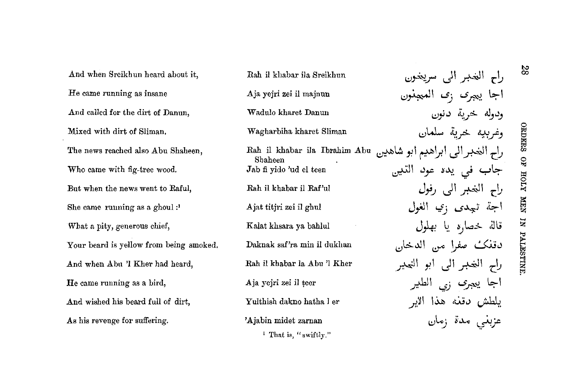And when Sreikhun heard about it, Rah il khabar ila Sreikhun *0~r* JlµI c~ <sup>00</sup> He came running as insane Aja yejri zei il majnun 0~~1 I..S· *)* I..S fr?. \~\ ودوله خرية دنون محمدت Wadulo kharet Danun ودوله خرية دنون من العبد العبد العبد العبد العبد العبد العبد العبد ا 0w.., '9,r"' <sup>0</sup> Mixed with dirt of Sliman. Wagharbiha kharet Sliman *4,?..J-..,* E3 Rah il khabar ila Ibrahim Abu مراح البحبر الكل ابراهيم ابو شاهين The news reached also Abu Shaheen, ,<br>- من الحجم الخبر الكل ابراهيم ابو شاهين The news reached also Abu Shaheen, , "II ~ yk:,- lzj Who came with fig.tree wood. .Jab fi yido 'ud el teen d.'-' iJy:- Ii~. l::tl But when the news went to Raful, Rah il khabar il Raf'ul J,;\_) JI fall cG ;;J She came running as a ghoul : J}if lJ ~L:3-.. .t]l:; ...... What a pity, generous chief, Kalat khsara ya bahlul z ك قلمة معنى المركز على العامة (70 Your beard is yellow from being smoked. Daknak saf'ra min il dukhan \_;~ll y,I JI fall 'C~ And when Abu 'I Kher had heard, Rah il khabar la Abu 'I Kher z He came running as a bird, Aja yejri zei ii teer r,bll ..f) I..S~ k:,-1 ست السيس السابق السيس السابق السابق السابق السابق السابق السابق السابق السابق السابق السابق السابق السابق السا<br>1. المس السابق المسلم السابق السابق السابق السابق السابق السابق السابق السابق السابق السابق السابق السابق السا

1 Thnt is, "swiftly."

 $\sum_{n=1}^{\infty}$ 1 Ajat titjri zei il ghul J\_,.JI *...S·* **,.,sJ."'j:::J** k;--1 <sup>~</sup>") z As his revenge for suffering. 'Ajabin midet zarnan 0l.oj fa.., *~r* 

~

**ts:l**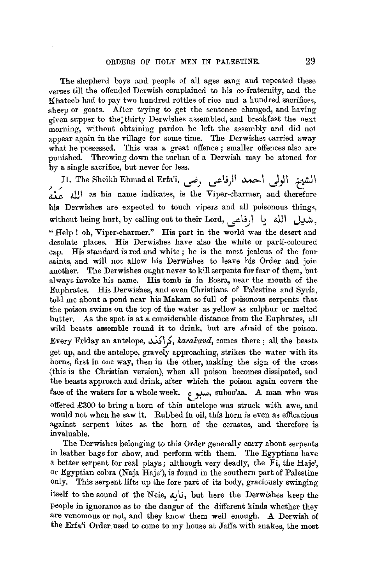The shepherd boys and people of all ages sang and repeated these verses till the offended Derwish complained to his co-fraternity, and the Khateeb had to pay two hundred rattles of rice and a hundred sacrifices, sheep or goats. After trying to get the sentence changed, and having given supper to the thirty Derwishes assembled, and breakfast the next morning, without obtaining pardon he left the assembly and did not appear again in the village for some time. The Derwishes carried away what he possessed. This was a great offence; smaller offences also are punished. Throwing down the turban of a Derwish may be atoned for by a single sacrifice, but never for less.

II. TheSheikhEhmadelErfa'i, ~J ~\.:)\ ~\ *J}\* ~I\ ? ,, L: **<U:-** ill\ as his name indicat<:is, is the Viper-charmer, and therefore his Derwishes are expected to touch vipers and all poisonous things, without being hurt, by calling out to their Lord, *,..s-\,;)* \ l?, ill I **J~,**  "Help ! oh, Viper-charmer." His part in the world was the desert and desolate places. His Derwishes have also the white or parti-coloured cap. His standard is red and white; he is the most jealous of the fom· saints, and **will** not allow his Derwishes to leave his Order and join another. The Derwishes ought never to kill serpents for fear of them, but always invoke his name. His tomb is in Bosra, near the mouth of the Euphrates. His Derwishes, and even Christians of Palestine and Syria, told me about a pond near his Makam so full of poisonous serpents that the poison swims on the top of the water as yellow as sulphur or melted butter. As the spot is at a considerable distance from the Euphrates, all wild beasts assemble round it to drink, but are afraid of the poison. Every Friday an antelope, M~, *karakand,* ~omes there; all the beasts get up, and the antelope, gravely approaching, strikes the water with its horns, first in one way, then in the other, making the sign of the cross {this is the Christian version), when all poison becomes dissipated, and the beasts approach and drink, after which the poison again covers the face of the waters for a whole week. • سبوع , suboo'aa. A man who was offered £300 to bring a horn of this antelope was struck with awe, and would not when he saw it. Rubbed in oil, this horn is even as efficacious against serpent bites as the horn of the cerastes, and therefore is invaluable.

The Derwishes belonging to this Order generally carry about serpents in leather bags for show, and perform with them. The Egyptians have a better serpent for real plays; although very deadly, the Fi, the Haje', or Egyptian cobra (Naja Haje'), is found in the southern part of Palestine only. This serpent lifts up the fore part of its body, graciously swinging itself to the sound of the Neie,  $i,j$ , but here the Derwishes keep the people in ignorance as to the danger of the different kinds whether they are venomous or not, and they know them well enough. A Derwish of the Erfa'i Order.used to come to my house at Jaffa with snakes, the most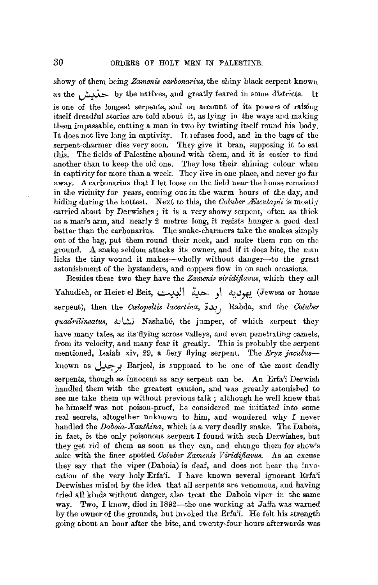showy of them being *Zamenis carbonarius*, the shiny black serpent known as the  $\mu$  by the natives, and greatly feared in some districts. It is one of the longest serpents, and on account of its powers of raising itself dreadful stories are told about it, as lying in the ways and making them impassable, cutting a man in two by twisting itself round his body. It does not live long in captivity. It refuses food, and in the bags of the serpent-charmer dies very soon. They give it bran, supposing it to eat this. The fields of Palestine abound with them, and it is easier to find another than to keep the old one. They lose their shining colour when in captivity for more than a week. They live in one place, and never go far away. A carbonarius that I let loose on the field near the house remained in the vicinity for years, coming out in the warm hours of the day, and hiding during the hottest. Next to this, the *Ooluber Bsculapii* is mostly carried about by Derwishes; it is a very showy serpent, often as thick as a man's arm, and nearly 2 metres long, it resists hunger a good deal better than the carbonarius. The snake-charmers take the snakes simply out of the bag, put them round their neck, and make them run on the ground. A snake seldom attacks its owner, and if it does bite, the man licks the tiny wound it makes-wholly without danger-to the great astonishment of the bystanders, and coppers flow in on such occasions.

Besides these two they have the *Zamenis viridiflavus,* which they call Yahudieh, or Heiet el Beit, حية البيت Yahudieh, or Heiet el Beit, حية serpent), then the *Ccelopeltis lacertina, ;~\_)* Rabda, and the *Ooluber quad'l'ilineatus,* <½l..!...i Nashabe, the jumper, of which serpent they have many tales, as its flying across valleys, and even penetrating camels, from its velocity, and many fear it greatly. This is probably the serpent mentioned, Isaiah xiv, 29, a fiery flying serpent. The *Eryx jaculus*known as  $\mu$ جدیل Barjeel, is supposed to be one of the most deadly serpents, though as innocent as any serpent can be. **An** Erfa'i Derwish handled them with the greatest caution, and was greatly astonished to see me take them up without previous talk ; although he well knew that he himself was not poison-proof, he considered me initiated into some real secrets, altogether unknown to him, and wondered why I never handled the *Daboia-Xanthina*, which is a very deadly snake. The Daboia, in fact, is the only poisonous serpent I found with such Derwishes, but they get rid of them as soon as they can, and change them for show's sake with the finer spotted *Coluber Zamenis Viridiflavus*. As an excuse they say that the viper (Daboia) is deaf, and does not hear the invocation of the very holy Erfa'i. I have known several ignorant Erfa'i Derwishes misled by the idea that all serpents are venomous, and having tried all kinds without danger, also treat the Daboia viper in the same way. Two, I know, died in 1892—the one working at Jaffa was warned by the owner of the grounds, but invoked the Erfa'i. He felt his strength going about an hour after the bite, and twenty-four hours afterwards was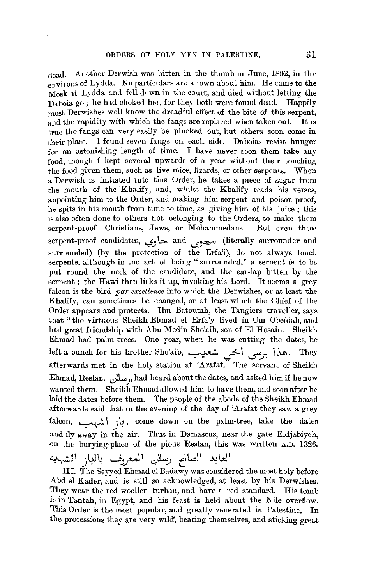-dead. Another Derwish was bitten in the thumb in June, 1892, in the environs of Lydda. No particulars are known about him. He came to the \_Mosk at Lydda and fell down in the court, and died without letting the Daboia go ; he had choked her, for they both were found dead. Happily most Derwishes well know the dreadful effect of the bite of this serpent, and the rapidity with which the fangs are replaced when taken out. It is true the fangs can very easily be plucked out, but others soon come in their place. I found seven fangs on each side. Daboias resist hunger for an astonishing length of time. I have never seen them take any food, though I kept several upwards of a year without their touching the food given them, such as live mice, lizards, or other serpents. When a Derwish is initiated into this Order, he takes a piece of sugar from the mouth of the Khalify, and, whilst the Khalify reads his verses, appointing him to the Order, and making him serpent and poison-proof, he spits in his mouth from time to time, as giving him of his juice ; this is also often done to others not belonging to the Orders, to make them serpent-proof---Christians, Jews, or Mohammedans. But even these serpent-proof candidates, **..,jJ** b. and *....S~* (literally su1Tounder and surrounded) (by the protection of the Erfa'i), do not always touch serpents, although in the act of being "surrounded," a serpent is to be put round the neck of the candidate, and the ear-lap bitten by the serpent; the Hawi then licks it up, invoking his Lord. It seems a grey falcon is the bird *par excellence* into which the Derwishes, or at least the Khalify, can sometimes be changed, or at least which the Chief of the Order appears and protects. lbn Batoutah, the Tangiers traveller, says that "the virtuous Sheikh Ehrnad el Erfa'y lived in Um Obeidah, and had great friendship with Abu Medin Sho'aib, son of El Hosain. Sheikh Ehmad had palm-trees. One year, when he was cutting the dates, he left a bunch for his brother Sho'aib, ~ *.\_?--*I **u""** *...J.* i ~ - They afterwards met in the holy station at 'Arafat." The servant of Sheikh Ehmad, Reslan, رسلان, had heard about the dates, and asked him if he now wanted them. Sheikh Ehmad allowed him to have them, and soon after he laid the dates before them. The people of the abode of the Sheikh Ehmad afterwards said that in the evening of the day of 'Arafat they saw a grey falcon, با; اشہب , come down on the palm-tree, take the dates and fly away in the air. Thus in Damascus, near the gate Eidjabiyeh, on the burying-place of the pious Reslan, this was written A.D. 1326. العابد الصال*ح رسلان المعروف بالبا*ز الاشهد*يه* 

Ill. The Seyyed Ehmad el Badawy was considered the most holy before Abd el Kader, and is still so acknowledged, at least by his Derwishes. They wear the red woollen turban, and have a red standard. His tomb is in Tantah, in Egypt, and his feast is held about the Nile overflow. This Order is the most popular, and greatly venerated in Palestine. In the processions they are very wild, beating themselves, and sticking great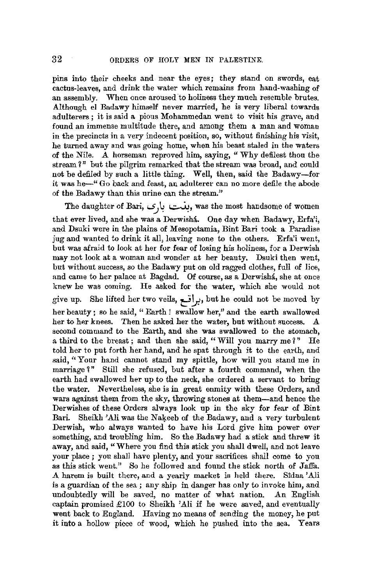pins into their cheeks and near the eyes; they stand on swords, eat cactus-leaves, and drink the water which remains from hand-washing of an assembly. When once aroused to holiness they much resemble brutes. Although el Badawy himself never married, he is very liberal towards adulterers; it is said a pious Mohammedan went to visit his grave, and found an immense multitude there, and among them a man and woman in the precincts in a very indecent position, so, without finishing his visit, he turned away and was going home, when his beast staled in the waters of the Nile. A horseman reproved him, saying, " Why defilest thou the stream *1"* but the pilgrim remarked that the stream was broad, and could not be defiled by such a little thing. Well, then, said the Badawy-for it was he-" Go back and feast, an adulterer can no more defile the abode of the Badawy than this urine can the stream."

The daughter of Bari, وبنت با<sub>ر</sub>ى, was the most handsome of women that ever lived, and she was a Derwisha. One day when Badawy, Erfa'i, and Dsuki were in the plains of Mesopotamia, Bint Bari took a Paradise jug and wanted to drink it all, leaving none to the others. Erfa'i went, but was afraid to look at her for fear of losing his holiness, for a Derwish may not look at a woman and wonder at her beauty. Dsuki then went, but without success, so the Badawy put on old ragged clothes, full of lice, and came to her palace at Bagdad. Of course, as a Derwisha, she at once knew he was coming. He asked for the water, which she would not give up. She lifted her two veils, وبراقع, but he could not be moved by her beauty ; so he said, " Earth ! swallow her," and the earth swallowed her to her knees. Then he asked her the water, but without success. A second command to the Earth, and she was swallowed to the stomach, a third to the breast; and then she said, "Will you marry me *1"* He told her to put forth her hand, and he spat through it to the earlh, and said, "Your hand cannot stand my spittle, how will you stand me in marriage *1"* Still she refused, but after a fourth command, when the earth had swallowed her up to the neck, she ordered a servant to bring the water. Nevertheless, she is in great enmity with these Orders, and wars against them from the sky, throwing stones at them-and hence the Derwishes of these Orders always look up in the sky for fear of Bint Bari. Sheikh 'Ali was the Nakeeb of the Badawy, and a very turbulent Derwish, who always wanted to have his Lord give him power over something, and troubling him. So the Badawy had a stick and threw it away, and said, "Where you find this stick you shall dwell, and not leave your place ; you shall have plenty, and your sacrifices shall come to you as this stick went." So he followed and found the stick north of Jaffa. A harem is built there, and a yearly market is held there. Sidna 'Ali is a guardian of the sea; any ship in danger has only to invoke him, and undoubtedly will be saved, no matter of what nation. An English captain promised £100 to Sheikh 'Ali if he were saved, and eventually went back to England. Having no means of sending the money, he put it into a hollow piece of wood, which he pushed into the sea. Years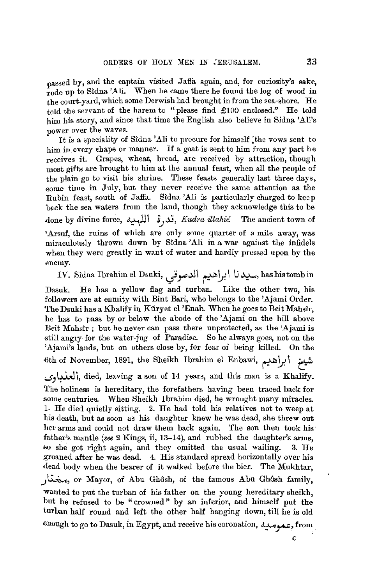passed by, and the captain visited Jafla again, and, for curiosity's sake, rode up to Sidna 'Ali. When he came there he found the log of wood in the court-yard, which some Denvish had brought in from the sea-shore. He told the servant of the harem to "please find £100 enclosed." He told him his story, and since that time the English also believe in Sidna 'Ali's power over the waves.

It is a speciality of Sidna 'Ali to procure for himself ;the vows sent to him in every shape or manner. If a goat is sent to him from any part he receives it. Grapes, wheat, bread, are received by attraction, though most gifts are brought to him at the annual feast, when all the people of the plain go to visit his shrine. These feasts generally last three days, some time in July, but they never receive the same attention as the Rubin feast, south of Jaffa. Sidna 'Ali is particularly charged to keep back the sea waters from the land, though they acknowledge this to be done by divine force, ~I **i.).,)j'** *Kudra illahii.* The ancient town of •Arsuf, the ruins of which are only some quarter of a mile away, was miraculously thrown down by Sidna 'Ali in a war against the infidels when they were greatly in want of water and hardly pressed upon by the enemy.

IV. Sidna Ibrahimel Dsuki, *Jr~\* ~1/,\ IJ~, hashistombin Dasuk. He has a yellow flag and turban. Like the other two, his followers are at enmity with Bint Bari, who belongs to the 'Ajami Order. The Dsuki has a Khalify in Kuryet el 'Enab. When he goes to Beit Mahsfr, he has to pass by or below the abode of the 'Ajami on the hill above Beit Mahsîr; but he never can pass there unprotected, as the 'Ajami is still angry for the water-jug of Paradise. So he always goes, not on the 'Ajami's lands, but on others close by, for fear of being killed. On the  ${\rm (th\ of\ November,\ 1891,\ the\ Sheikh\ Ibrahim\ el\ Enbawi, ~\ }$ شيخ أبراهيم *...s\_,~\,* died, leaving a son of 14 years, and this man is a Khalify. The holiness is hereditary, the forefathers having been traced back for some centuries. When Sheikh Ibrahim died, he wrought many miracles. 1. He died quietly sitting. 2. He had told his relatives not to weep at his death, but as soon as his daughter knew he was dead, she threw out her arms and could not draw them back again. The son then took his· father's mantle *(see* 2 Kings, ii, 13-14), and rubbed the daughter's arms, so she got right again, and they omitted the usual wailing. 3. He groaned after he was dead. 4. His standard spread horizontally over his dead body when the bearer of it walked before the bier. The Mukhtar, مجمَّعْار, or Mayor, of Abu Ghôsh, of the famous Abu Ghôsh family, wanted to put the turban of his father on the young hereditary sheikh, but he refused to be " crowned" by an inferior, and himself put the turban half round and left the other half hanging down, till he is old enough to go to Dasuk, in Egypt, and receive his coronation, وعموميه. from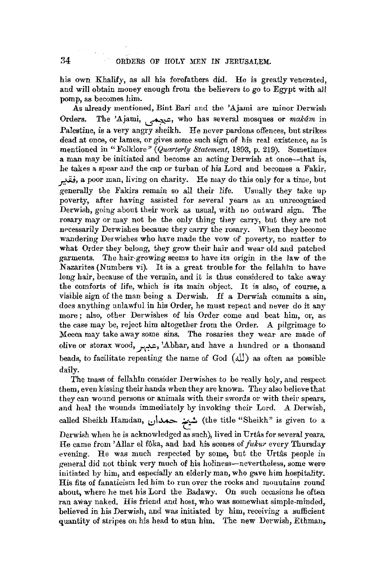his own Khalify, as all his forefathers did. He is greatly venerated, and will obtain money enough from the believers to go to Egypt with all pomp, as becomes Lim.

As already mentioned, Bint Bari and the 'Ajami are minor Derwish Orders. The 'Ajami, exxx, who has several mosques or *makam* in Palestine, is a very angry sheikh. He never pardons offences, but strikes dead at once, or lames, or gives some such sign of his real existence, as is mentioned in "Folklore" *(Quarterly Statement,* 1893, p. 219). Sometimes **a** man may be initiated and become an acting Derwish at once-that is, he takes a spear and the cap or turban of his Lord and becomes a Fakir, *fa,* a poor man, living on charity. He may do this only for a time, but generally the Fakirs remain so all their life. Usually they take up poverty, after having assisted for several years as an unrecognised Derwish, going about their work as usual, with no outward sign. The rosary may or may not be the only thing they carry, but they are not necessarily Derwishes because they carry the rosary. When they become wandering Derwishes who have made the vow of poverty, no matter to what Order they belong, they grow their hair and wear old and patched garments. The hair-growing seems to have its origin in the law of the Nazarites (Numbers vi). It is a great trouble for the fellahin to have long hair, because of the vermin, and it is thus considered to take away the comforts of life, which is its main object. It is also, of course, a visible sign of the man being a Derwish. *If* a Derwish commits a sin, does anything unlawful in his Order, he must repent and never do it any more ; also, other Derwishes of his Order come and beat him, or, as the case may be, reject him altogether from the Order. A pilgrimage to Mecca may take away some sins. The rosaries they wear are made of olive or storax wood, عبد, 'Abhar, and have a hundred or a thousand beads, to facilitate repeating the name of God  $(\lambda\mu)$  as often as possible daily.

The mass of fellahin consider Derwishes to be really holy, and respect them, even kissing their hands when they are known. They also believe that they can wound persons or animals with their swords or with their spears, and heal the wounds immediately by invoking their Lord. A Derwish, called Sheikh Hamdan, شيخ حمدان (the title "Sheikh" is given to a Derwish when he is acknowledged as such), lived in Urtas for several years. He came from 'Allar el fôka, and had his scenes of *fukur* every Thursday evening. He was much respected by some, but the Urtas people in general did not think very much of his holiness-nevertheless, some were initiated by him, and especially an elderly man, who gave him hospitality. His fits of fanaticism led him to run over the rocks and mountains round about, where he met his Lord the Badawy. On such occasions he often ran away naked. His friend and host, who was somewhat simple-minded, believed in his Derwish, and was initiated by him, receiving a sufficient quantity of stripes on his head to stun him. The new Derwish, Ethman,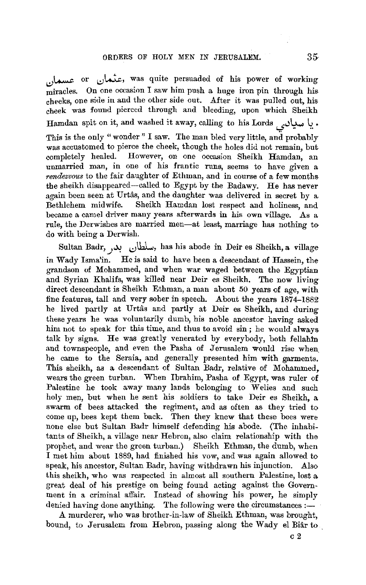*.:)~* or ~~' was quite persuaded of his power of working miracles. On one occasion I saw him push a huge iron pin through his. cheeks, one side in and the other side out. After it was pulled out, his. cheek was found pierced through and bleeding, upon which Sheikh Hamdan spit on it, and washed it away, calling to his Lords  $\mu$ . This is the only "wonder " I saw. The man bled very little, and probably was accustomed to pierce the cheek, though the holes did not remain, but.<br>completely healed. However, on one occasion Sheikh Hamdan, an However, on one occasion Sheikh Hamdan, an unmarried man, in one of his frantic runs, seems to have given a *rendezvous* to the fair daughter of Ethman, and in course of a few months the sheikh disappeared-called to Egypt by the Badawy. He has never again been seen at Urtâs, and the daughter was delivered in secret by a. Bethlehem midwife. Sheikh Hamdan lost respect and holiness, and became a camel driver many years afterwards in his own village. As a rule, the Derwishes are married men-at least, marriage has nothing to do with being a Derwish.

Sultan Badr, .سلطان ند, has his abode in Deir es Sheikh, a village in Wady Isrna'in. He is said to have been a descendant of Hassein, the grandson of Mohammed, and when war waged between the Egyptian and Syrian Khalifs, was killed near Deir es Sheikh. The now living direct descendant is Sheikh Ethman, a man about 50 years of age, with fine features, tall and very sober in speech. About the years 1874-1882 he lived partly at Urtâs and partly at Deir es Sheikh, and during these years he was voluntarily dumb, his noble ancestor having asked him not to speak for this time, and thus to avoid sin; he would always talk by signs. He was greatly venerated by everybody, both fellahin and townspeople, and even the Pasha of Jerusalem would rise when. he came to the Seraia, and generally presented him with garments. This sheikh, aa a descendant of Sultan Badr, relative of Mohammed, wears the green turban. When Ibrahim, Pasha of Egypt, was ruler of Palestine he took away many lands belonging to Welies and such holy men, but when he sent his soldiers to take Deir es Sheikh, a swarm of bees attacked the regiment, and as often as they tried to come up, bees kept them back. Then they knew that these bees were none else but Sultan Badr himself defending his abode. (The inhabitants of Sheikh, a village near Hebron, also claim relationship with the prophet, and wear the green turban.) Sheikh Ethman, the dumb, when I met him about 1889, had finished his vow, and was again allowed to speak, his ancestor, Sultan Badr, having withdrawn his injunction. Also this sheikh, who was respected in almost all southern Palestine, lost a great deal of his prestige on being found acting against the Government in a criminal affair. Instead of showing his power, he simply denied having done anything. The following were the circumstances  $:$ 

.A murderer, who was brother-in-law of Sheikh Ethman, was brought, bound, to Jerusalem from Hebron, passing along the Wady el Biâr to

 $c<sub>2</sub>$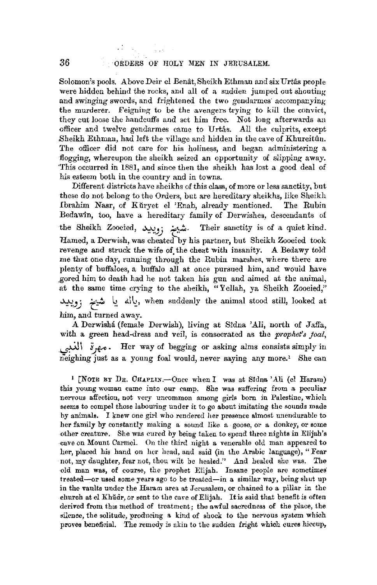Solomon's pools. Above Deir el Benât, Sheikh Ethman and six Urtâs people were hidden behind the rocks, and all of a sudden jumped out shouting and swinging swords, and frightened the two gendarmes accompanying the murderer. Feigning to be the avengers trying to kill the convict, they cut loose the handcuffs and set him free. Not long afterwards an officer and twelve gendarmes came to Urtas. All the culprits, except Sheikh Ethman, had left the village and hidden in the cave of Khureitûn. The officer did not care for his holiness, and began administering a flogging, whereupon the sheikh seized an opportunity of slipping away. 'This occurred in 1881, and since then the sheikh has lost a good deal of his esteem both in the country and in towns.

Different districts have sheikhs of this class, of more or less sanctity, but these do not belong to the Orders, but are hereditary sheikhs, like Sheikh Ibrahim Nasr, of Küryet el 'Enab, already mentioned. The Rubin Bedawin, too, have a hereditary family of Derwishes, descendants of the Sheikh Zooeied, 'شيخ ; ويبيد. Their sanctity is of a quiet kind. Hamed, a Derwish, was cheated by his partner, but Sheikh Zooeied took revenge and struck the wife of. the cheat with insanity. A Bedawy told me that one day, running through the Rubin marshes, where there are plenty of buffaloes, a buffalo all at once pursued him, and would have \_gored him to death had he not taken his gun and aimed at the animal, at the same time crying to the sheikh, " Yellah, ya Sheikh Zooeied," ~J) ~ Y, <ll~'.• when suddenly the animal stood still, looked at him, and turned away.

A Derwisha (female Derwish), living at Sidna 'Ali, north of Jaffa, with a green head-dress and veil, is consecrated as the *prophets joal,*  - مهرة المُدبى Fler way of begging or asking alms consists simply in neighing just as a young foal would, never saying any more.' She can

<sup>1</sup> [NOTE BY DR. CHAPLIN.--Once when I was at Stdna 'Ali (el Haram) this young woman came into our camp. She was suffering from a peculiar nervous affection, not very uncommon among girls born in Palestine, which seems to compel those labouring under it to go about imitating the sounds made by animals. I knew one girl who rendered her presence almost unendurable to her family by constantly making a sound like a goose, or a donkey, or some other creature. She was cured by being taken to spend three nights in Elijah's -cave on Mount Carmel. On the third night a venerable old man appeared to her, placed his hand on her head, and said (in the Arabic language), "Fear not, my daughter, fear not, thou wilt be healed." And healed she was. The old man was, of course, the prophet Elijah. Insane people are sometimes' treated-or used some years ago to be treated-in a similar way, being shut up in the vaults under the Haram area at Jerusalem, or chained to a pillar in the church at el Khüdr, or sent to the cave of Elijah. It is said that benefit is often derived from this method of treatment; the awful sacredness of the place, the silence, the solitude, producing a kind of shock to the nervous system which proves beneficial. The remedy is akin to the sudden fright which cures hiccup,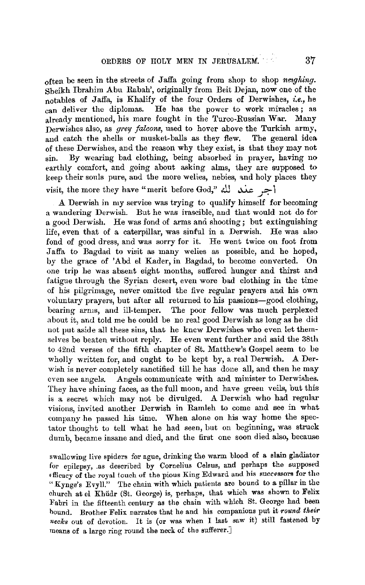often be seen in the streets of Jaffa going from shop to shop *neighing*. Sheikh Ibrahim Abu Rabah', originally from Beit Dejan, now one of the notables of Jaffa, is Khalify of the four Orders of Derwishes, *i.e.*, he can deliver the diplomas. He has the power to work miracles; as He has the power to work miracles; as already mentioned, his mare fought in the Turco-Russian **War.** Many Derwishes also, as *grey falcons,* used to hover above the Turkish army, and catch the shells or musket-balls as they flew. of these Derwishes, and the reason why they exist, is that they may not sin. By wearing bad clothing, being absorbed in prayer, having no earthly comfort, and going about asking alms, they are supposed to keep their souls pure, and the more welies, nebies, and holy places they visit, the more they have "merit before God," لله  $\frac{1}{2}$ 

A Derwish in my service was trying to qualify himself for becoming a wandering Derwish. But he was irascible, and that would not do for a good Derwish. He was fond of arms and shooting ; but extinguishing life, even that of a caterpillar, was sinful in a Derwish. He was also fond of good dress, and was sorry for it. He went twice on foot from Jaffa to Bagdad to visit as many welles as possible, and he hoped, by the grace of 'Abd el Kader, in Bagdad, to become converted. On one trip he was absent eight months, suffered hunger and thirst and fatigue through the Syrian desert, even wore bad clothing in the time of his pilgrimage, never omitted the five regular prayers and his own voluntary prayers, but after all returned to his passions-good clothing, bearing arms, and ill-temper. The poor fellow was much perplexed about it, and told me he could be no real good Derwish as long as he did not put aside all these sins, that he knew Derwishes who even let themselves be beaten without reply. He even went further and said the 38th to 42nd verses of the fifth chapter of St. Matthew's Gospel seem to be wholly written for, and ought to be kept by, a real Derwish. A Derwish is never completely sanctified till he has done all, and then he may even see angels. Angels communicate with and minister to Derwishes. They have shining faces, as the full moon, and have green veils, but this is a secret which may not be divulged. A Derwish who had regular visions, invited another Derwish in Ramleh to come and see in what company he passed his time. When alone on his way home the spectator thought to tell what he had seen, but on beginning, was struck dumb, became insane and died, and the first one soon died also, because

swallowing live spiders for ague, drinking the warm blood of a slain gladiator for epilepsy, .as described by Cornelius Celsus, and perhaps the supposed •fficacy of the royal 1ouch of the pious King Edward and his successors for the "Kynge's Evyll." The chain with which patients are bound to a pillar in the church at el Khiidr (St. George) is, perhaps, that which was shown to Felix Fabri in the fifteenth century as the chain with which St. George had been hound. Brother Felix narrates that he and his companions put it *round their necks* out of devotion. It is (or was when I last saw it) still fastened by means of a large ring round the neck of the sufferer.]